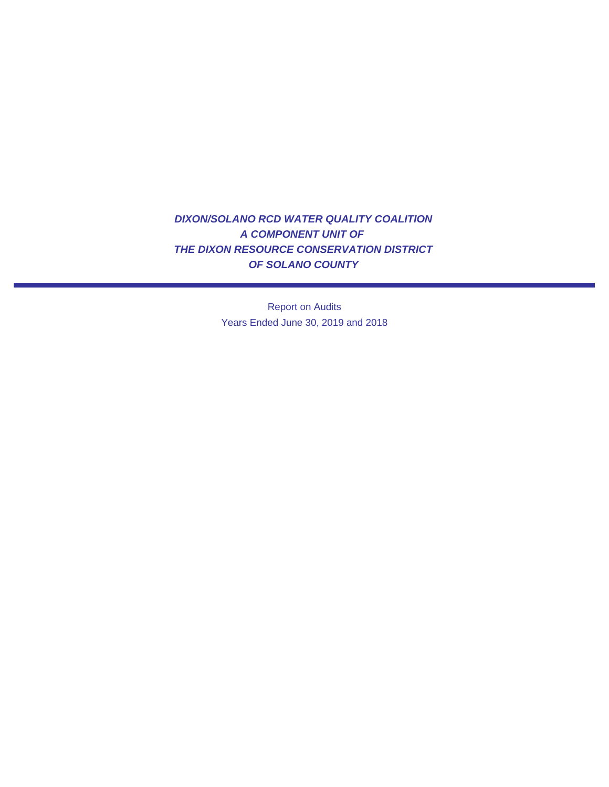*DIXON/SOLANO RCD WATER QUALITY COALITION THE DIXON RESOURCE CONSERVATION DISTRICT A COMPONENT UNIT OF OF SOLANO COUNTY*

> Report on Audits Years Ended June 30, 2019 and 2018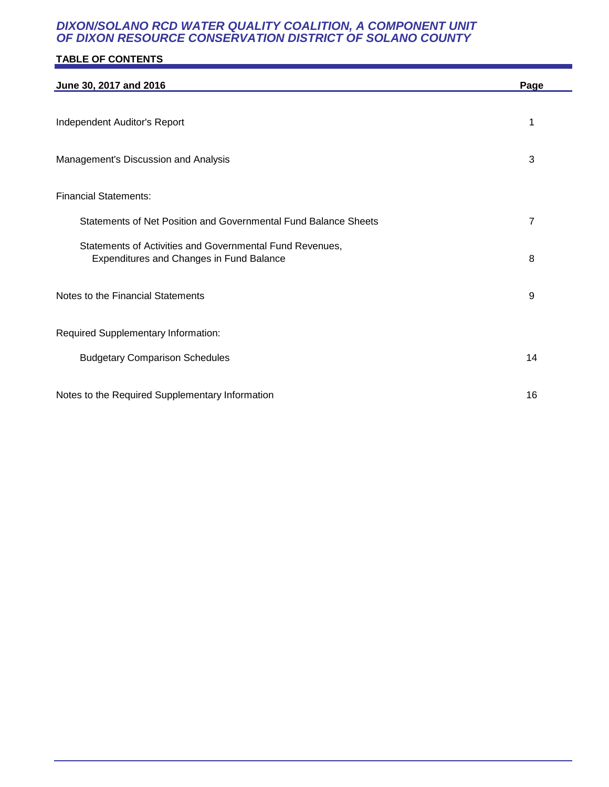## **TABLE OF CONTENTS**

| June 30, 2017 and 2016                                                                                      | Page           |
|-------------------------------------------------------------------------------------------------------------|----------------|
|                                                                                                             |                |
| Independent Auditor's Report                                                                                | 1              |
| Management's Discussion and Analysis                                                                        | 3              |
| <b>Financial Statements:</b>                                                                                |                |
| Statements of Net Position and Governmental Fund Balance Sheets                                             | $\overline{7}$ |
| Statements of Activities and Governmental Fund Revenues,<br><b>Expenditures and Changes in Fund Balance</b> | 8              |
| Notes to the Financial Statements                                                                           | 9              |
| Required Supplementary Information:                                                                         |                |
| <b>Budgetary Comparison Schedules</b>                                                                       | 14             |
| Notes to the Required Supplementary Information                                                             | 16             |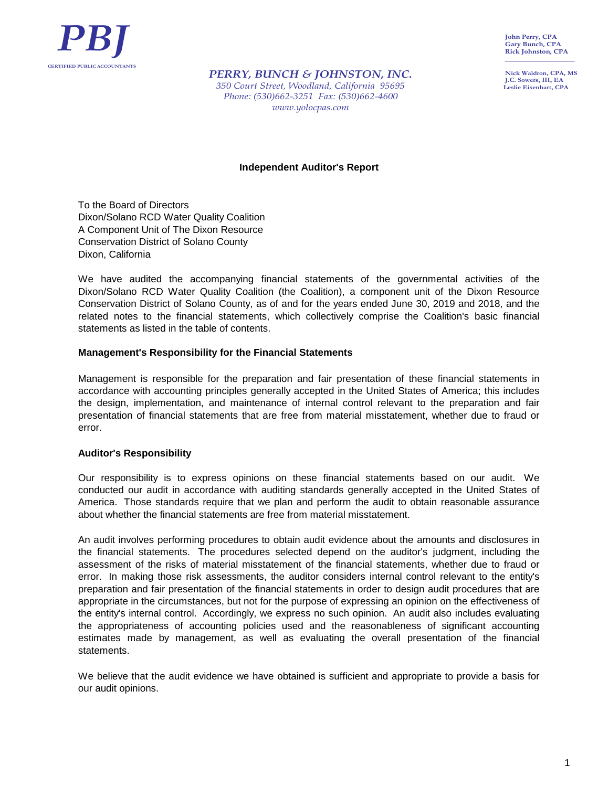

*PERRY, BUNCH & JOHNSTON, INC.*

*350 Court Street, Woodland, California 95695 Phone: (530)662-3251 Fax: (530)662-4600 www.yolocpas.com*

**Gary Bunch, CPA Rick Johnston, CPA \_\_\_\_\_\_\_\_\_\_\_\_\_\_\_\_\_\_\_\_**

**Nick Waldron, CPA, MS J.C. Sowers, III, EA Leslie Eisenhart, CPA**

## **Independent Auditor's Report**

To the Board of Directors Dixon/Solano RCD Water Quality Coalition A Component Unit of The Dixon Resource Conservation District of Solano County Dixon, California

We have audited the accompanying financial statements of the governmental activities of the Dixon/Solano RCD Water Quality Coalition (the Coalition), a component unit of the Dixon Resource Conservation District of Solano County, as of and for the years ended June 30, 2019 and 2018, and the related notes to the financial statements, which collectively comprise the Coalition's basic financial statements as listed in the table of contents.

### **Management's Responsibility for the Financial Statements**

Management is responsible for the preparation and fair presentation of these financial statements in accordance with accounting principles generally accepted in the United States of America; this includes the design, implementation, and maintenance of internal control relevant to the preparation and fair presentation of financial statements that are free from material misstatement, whether due to fraud or error.

## **Auditor's Responsibility**

Our responsibility is to express opinions on these financial statements based on our audit. We conducted our audit in accordance with auditing standards generally accepted in the United States of America. Those standards require that we plan and perform the audit to obtain reasonable assurance about whether the financial statements are free from material misstatement.

An audit involves performing procedures to obtain audit evidence about the amounts and disclosures in the financial statements. The procedures selected depend on the auditor's judgment, including the assessment of the risks of material misstatement of the financial statements, whether due to fraud or error. In making those risk assessments, the auditor considers internal control relevant to the entity's preparation and fair presentation of the financial statements in order to design audit procedures that are appropriate in the circumstances, but not for the purpose of expressing an opinion on the effectiveness of the entity's internal control. Accordingly, we express no such opinion. An audit also includes evaluating the appropriateness of accounting policies used and the reasonableness of significant accounting estimates made by management, as well as evaluating the overall presentation of the financial statements.

We believe that the audit evidence we have obtained is sufficient and appropriate to provide a basis for our audit opinions.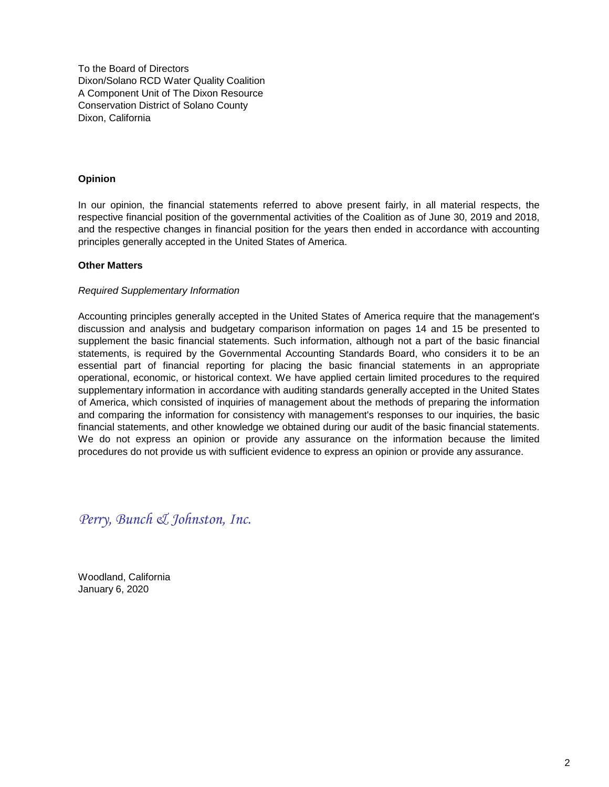To the Board of Directors Dixon/Solano RCD Water Quality Coalition A Component Unit of The Dixon Resource Conservation District of Solano County Dixon, California

### **Opinion**

In our opinion, the financial statements referred to above present fairly, in all material respects, the respective financial position of the governmental activities of the Coalition as of June 30, 2019 and 2018, and the respective changes in financial position for the years then ended in accordance with accounting principles generally accepted in the United States of America.

### **Other Matters**

#### *Required Supplementary Information*

Accounting principles generally accepted in the United States of America require that the management's discussion and analysis and budgetary comparison information on pages 14 and 15 be presented to supplement the basic financial statements. Such information, although not a part of the basic financial statements, is required by the Governmental Accounting Standards Board, who considers it to be an essential part of financial reporting for placing the basic financial statements in an appropriate operational, economic, or historical context. We have applied certain limited procedures to the required supplementary information in accordance with auditing standards generally accepted in the United States of America, which consisted of inquiries of management about the methods of preparing the information and comparing the information for consistency with management's responses to our inquiries, the basic financial statements, and other knowledge we obtained during our audit of the basic financial statements. We do not express an opinion or provide any assurance on the information because the limited procedures do not provide us with sufficient evidence to express an opinion or provide any assurance.

*Perry, Bunch & Johnston, Inc.*

Woodland, California January 6, 2020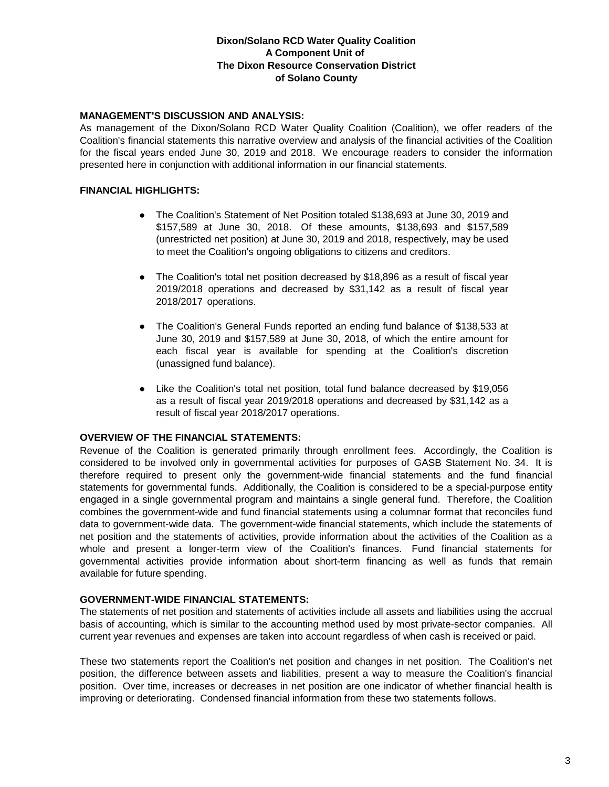## **Dixon/Solano RCD Water Quality Coalition A Component Unit of The Dixon Resource Conservation District of Solano County**

## **MANAGEMENT'S DISCUSSION AND ANALYSIS:**

As management of the Dixon/Solano RCD Water Quality Coalition (Coalition), we offer readers of the Coalition's financial statements this narrative overview and analysis of the financial activities of the Coalition for the fiscal years ended June 30, 2019 and 2018. We encourage readers to consider the information presented here in conjunction with additional information in our financial statements.

### **FINANCIAL HIGHLIGHTS:**

- The Coalition's Statement of Net Position totaled \$138,693 at June 30, 2019 and \$157,589 at June 30, 2018. Of these amounts, \$138,693 and \$157,589 (unrestricted net position) at June 30, 2019 and 2018, respectively, may be used to meet the Coalition's ongoing obligations to citizens and creditors.
- The Coalition's total net position decreased by \$18,896 as a result of fiscal year 2019/2018 operations and decreased by \$31,142 as a result of fiscal year 2018/2017 operations.
- The Coalition's General Funds reported an ending fund balance of \$138,533 at June 30, 2019 and \$157,589 at June 30, 2018, of which the entire amount for each fiscal year is available for spending at the Coalition's discretion (unassigned fund balance).
- Like the Coalition's total net position, total fund balance decreased by \$19,056 as a result of fiscal year 2019/2018 operations and decreased by \$31,142 as a result of fiscal year 2018/2017 operations.

#### **OVERVIEW OF THE FINANCIAL STATEMENTS:**

Revenue of the Coalition is generated primarily through enrollment fees. Accordingly, the Coalition is considered to be involved only in governmental activities for purposes of GASB Statement No. 34. It is therefore required to present only the government-wide financial statements and the fund financial statements for governmental funds. Additionally, the Coalition is considered to be a special-purpose entity engaged in a single governmental program and maintains a single general fund. Therefore, the Coalition combines the government-wide and fund financial statements using a columnar format that reconciles fund data to government-wide data. The government-wide financial statements, which include the statements of net position and the statements of activities, provide information about the activities of the Coalition as a whole and present a longer-term view of the Coalition's finances. Fund financial statements for governmental activities provide information about short-term financing as well as funds that remain available for future spending.

#### **GOVERNMENT-WIDE FINANCIAL STATEMENTS:**

The statements of net position and statements of activities include all assets and liabilities using the accrual basis of accounting, which is similar to the accounting method used by most private-sector companies. All current year revenues and expenses are taken into account regardless of when cash is received or paid.

These two statements report the Coalition's net position and changes in net position. The Coalition's net position, the difference between assets and liabilities, present a way to measure the Coalition's financial position. Over time, increases or decreases in net position are one indicator of whether financial health is improving or deteriorating. Condensed financial information from these two statements follows.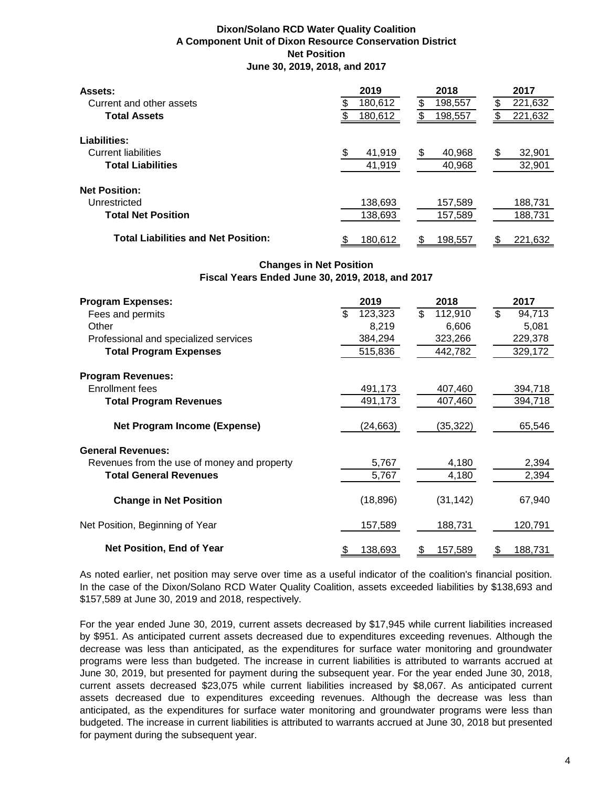## **Dixon/Solano RCD Water Quality Coalition A Component Unit of Dixon Resource Conservation District Net Position June 30, 2019, 2018, and 2017**

| <b>Assets:</b>                             | 2019          | 2018        | 2017        |
|--------------------------------------------|---------------|-------------|-------------|
| Current and other assets                   | 180,612       | 198,557     | 221,632     |
| <b>Total Assets</b>                        | 180,612       | 198,557     | 221,632     |
| Liabilities:                               |               |             |             |
| <b>Current liabilities</b>                 | \$.<br>41,919 | 40,968<br>S | 32,901<br>S |
| <b>Total Liabilities</b>                   | 41,919        | 40,968      | 32,901      |
| <b>Net Position:</b>                       |               |             |             |
| Unrestricted                               | 138,693       | 157,589     | 188,731     |
| <b>Total Net Position</b>                  | 138,693       | 157,589     | 188,731     |
| <b>Total Liabilities and Net Position:</b> | 180,612       | 198,557     | 221,632     |

## **Changes in Net Position Fiscal Years Ended June 30, 2019, 2018, and 2017**

| <b>Program Expenses:</b>                    | 2019           | 2018          | 2017         |
|---------------------------------------------|----------------|---------------|--------------|
| Fees and permits                            | 123,323<br>\$. | \$<br>112,910 | \$<br>94,713 |
| Other                                       | 8,219          | 6,606         | 5,081        |
| Professional and specialized services       | 384,294        | 323,266       | 229,378      |
| <b>Total Program Expenses</b>               | 515,836        | 442,782       | 329,172      |
| <b>Program Revenues:</b>                    |                |               |              |
| <b>Enrollment fees</b>                      | 491,173        | 407,460       | 394,718      |
| <b>Total Program Revenues</b>               | 491,173        | 407,460       | 394,718      |
| <b>Net Program Income (Expense)</b>         | (24, 663)      | (35,322)      | 65,546       |
| <b>General Revenues:</b>                    |                |               |              |
| Revenues from the use of money and property | 5,767          | 4,180         | 2,394        |
| <b>Total General Revenues</b>               | 5,767          | 4,180         | 2,394        |
| <b>Change in Net Position</b>               | (18, 896)      | (31, 142)     | 67,940       |
| Net Position, Beginning of Year             | 157,589        | 188,731       | 120,791      |
| <b>Net Position, End of Year</b>            | 138,693        | 157,589       | 188,731      |

As noted earlier, net position may serve over time as a useful indicator of the coalition's financial position. In the case of the Dixon/Solano RCD Water Quality Coalition, assets exceeded liabilities by \$138,693 and \$157,589 at June 30, 2019 and 2018, respectively.

For the year ended June 30, 2019, current assets decreased by \$17,945 while current liabilities increased by \$951. As anticipated current assets decreased due to expenditures exceeding revenues. Although the decrease was less than anticipated, as the expenditures for surface water monitoring and groundwater programs were less than budgeted. The increase in current liabilities is attributed to warrants accrued at June 30, 2019, but presented for payment during the subsequent year. For the year ended June 30, 2018, current assets decreased \$23,075 while current liabilities increased by \$8,067. As anticipated current assets decreased due to expenditures exceeding revenues. Although the decrease was less than anticipated, as the expenditures for surface water monitoring and groundwater programs were less than budgeted. The increase in current liabilities is attributed to warrants accrued at June 30, 2018 but presented for payment during the subsequent year.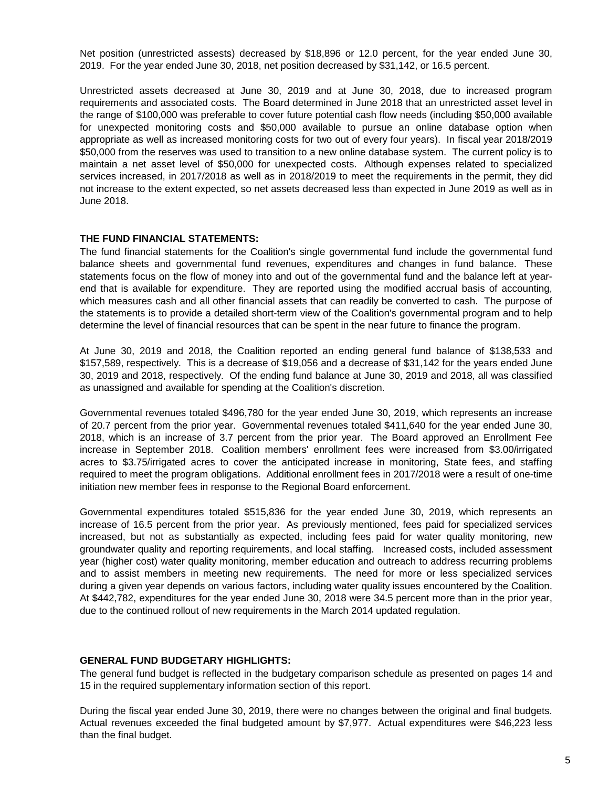Net position (unrestricted assests) decreased by \$18,896 or 12.0 percent, for the year ended June 30, 2019. For the year ended June 30, 2018, net position decreased by \$31,142, or 16.5 percent.

Unrestricted assets decreased at June 30, 2019 and at June 30, 2018, due to increased program requirements and associated costs. The Board determined in June 2018 that an unrestricted asset level in the range of \$100,000 was preferable to cover future potential cash flow needs (including \$50,000 available for unexpected monitoring costs and \$50,000 available to pursue an online database option when appropriate as well as increased monitoring costs for two out of every four years). In fiscal year 2018/2019 \$50,000 from the reserves was used to transition to a new online database system. The current policy is to maintain a net asset level of \$50,000 for unexpected costs. Although expenses related to specialized services increased, in 2017/2018 as well as in 2018/2019 to meet the requirements in the permit, they did not increase to the extent expected, so net assets decreased less than expected in June 2019 as well as in June 2018.

#### **THE FUND FINANCIAL STATEMENTS:**

The fund financial statements for the Coalition's single governmental fund include the governmental fund balance sheets and governmental fund revenues, expenditures and changes in fund balance. These statements focus on the flow of money into and out of the governmental fund and the balance left at yearend that is available for expenditure. They are reported using the modified accrual basis of accounting, which measures cash and all other financial assets that can readily be converted to cash. The purpose of the statements is to provide a detailed short-term view of the Coalition's governmental program and to help determine the level of financial resources that can be spent in the near future to finance the program.

At June 30, 2019 and 2018, the Coalition reported an ending general fund balance of \$138,533 and \$157,589, respectively. This is a decrease of \$19,056 and a decrease of \$31,142 for the years ended June 30, 2019 and 2018, respectively. Of the ending fund balance at June 30, 2019 and 2018, all was classified as unassigned and available for spending at the Coalition's discretion.

Governmental revenues totaled \$496,780 for the year ended June 30, 2019, which represents an increase of 20.7 percent from the prior year. Governmental revenues totaled \$411,640 for the year ended June 30, 2018, which is an increase of 3.7 percent from the prior year. The Board approved an Enrollment Fee increase in September 2018. Coalition members' enrollment fees were increased from \$3.00/irrigated acres to \$3.75/irrigated acres to cover the anticipated increase in monitoring, State fees, and staffing required to meet the program obligations. Additional enrollment fees in 2017/2018 were a result of one-time initiation new member fees in response to the Regional Board enforcement.

Governmental expenditures totaled \$515,836 for the year ended June 30, 2019, which represents an increase of 16.5 percent from the prior year. As previously mentioned, fees paid for specialized services increased, but not as substantially as expected, including fees paid for water quality monitoring, new groundwater quality and reporting requirements, and local staffing. Increased costs, included assessment year (higher cost) water quality monitoring, member education and outreach to address recurring problems and to assist members in meeting new requirements. The need for more or less specialized services during a given year depends on various factors, including water quality issues encountered by the Coalition. At \$442,782, expenditures for the year ended June 30, 2018 were 34.5 percent more than in the prior year, due to the continued rollout of new requirements in the March 2014 updated regulation.

## **GENERAL FUND BUDGETARY HIGHLIGHTS:**

The general fund budget is reflected in the budgetary comparison schedule as presented on pages 14 and 15 in the required supplementary information section of this report.

During the fiscal year ended June 30, 2019, there were no changes between the original and final budgets. Actual revenues exceeded the final budgeted amount by \$7,977. Actual expenditures were \$46,223 less than the final budget.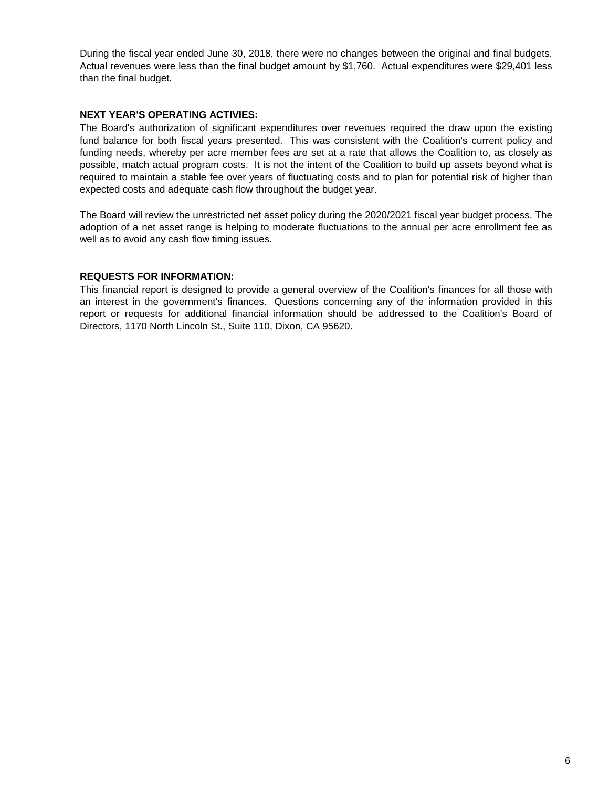During the fiscal year ended June 30, 2018, there were no changes between the original and final budgets. Actual revenues were less than the final budget amount by \$1,760. Actual expenditures were \$29,401 less than the final budget.

### **NEXT YEAR'S OPERATING ACTIVIES:**

The Board's authorization of significant expenditures over revenues required the draw upon the existing fund balance for both fiscal years presented. This was consistent with the Coalition's current policy and funding needs, whereby per acre member fees are set at a rate that allows the Coalition to, as closely as possible, match actual program costs. It is not the intent of the Coalition to build up assets beyond what is required to maintain a stable fee over years of fluctuating costs and to plan for potential risk of higher than expected costs and adequate cash flow throughout the budget year.

The Board will review the unrestricted net asset policy during the 2020/2021 fiscal year budget process. The adoption of a net asset range is helping to moderate fluctuations to the annual per acre enrollment fee as well as to avoid any cash flow timing issues.

## **REQUESTS FOR INFORMATION:**

This financial report is designed to provide a general overview of the Coalition's finances for all those with an interest in the government's finances. Questions concerning any of the information provided in this report or requests for additional financial information should be addressed to the Coalition's Board of Directors, 1170 North Lincoln St., Suite 110, Dixon, CA 95620.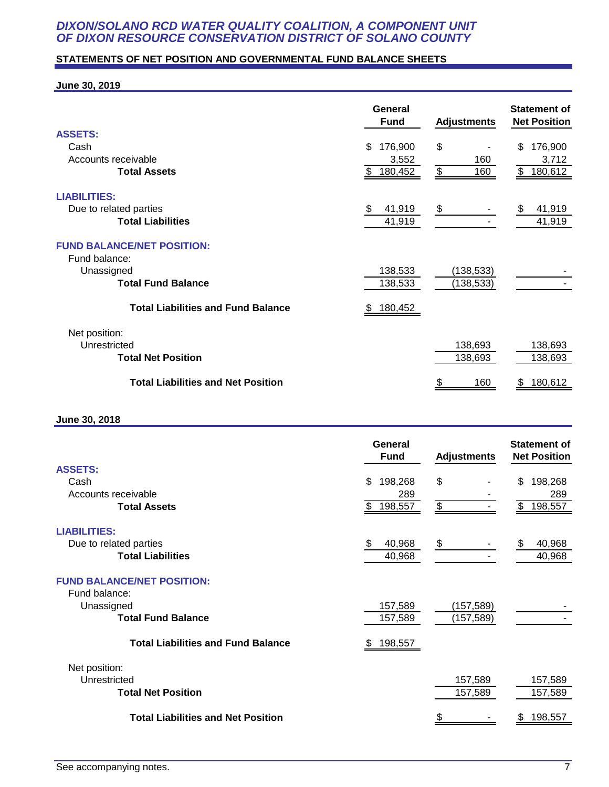## **STATEMENTS OF NET POSITION AND GOVERNMENTAL FUND BALANCE SHEETS**

### **June 30, 2019**

|                                           | General<br><b>Fund</b> | <b>Adjustments</b> | <b>Statement of</b><br><b>Net Position</b> |
|-------------------------------------------|------------------------|--------------------|--------------------------------------------|
| <b>ASSETS:</b>                            |                        |                    |                                            |
| Cash                                      | 176,900<br>\$          | \$                 | 176,900<br>\$                              |
| Accounts receivable                       | 3,552                  | 160                | 3,712                                      |
| <b>Total Assets</b>                       | 180,452<br>\$          | \$<br>160          | $\frac{1}{2}$<br>180,612                   |
| <b>LIABILITIES:</b>                       |                        |                    |                                            |
| Due to related parties                    | 41,919<br>\$           | \$                 | 41,919<br>\$                               |
| <b>Total Liabilities</b>                  | 41,919                 |                    | 41,919                                     |
| <b>FUND BALANCE/NET POSITION:</b>         |                        |                    |                                            |
| Fund balance:                             |                        |                    |                                            |
| Unassigned                                | 138,533                | (138, 533)         |                                            |
| <b>Total Fund Balance</b>                 | 138,533                | (138, 533)         |                                            |
| <b>Total Liabilities and Fund Balance</b> | 180,452<br>S.          |                    |                                            |
| Net position:                             |                        |                    |                                            |
| Unrestricted                              |                        | 138,693            | 138,693                                    |
| <b>Total Net Position</b>                 |                        | 138,693            | 138,693                                    |
| <b>Total Liabilities and Net Position</b> |                        | 160                | 180,612<br>æ.                              |

#### **June 30, 2018**

|                                                    | General<br><b>Fund</b> | <b>Adjustments</b> | <b>Statement of</b><br><b>Net Position</b> |
|----------------------------------------------------|------------------------|--------------------|--------------------------------------------|
| <b>ASSETS:</b>                                     |                        |                    |                                            |
| Cash                                               | 198,268<br>\$          | \$                 | 198,268<br>\$                              |
| Accounts receivable                                | 289                    |                    | 289                                        |
| <b>Total Assets</b>                                | \$<br>198,557          | \$                 | \$<br>198,557                              |
| <b>LIABILITIES:</b>                                |                        |                    |                                            |
| Due to related parties                             | \$<br>40,968           | \$                 | 40,968<br>\$                               |
| <b>Total Liabilities</b>                           | 40,968                 |                    | 40,968                                     |
| <b>FUND BALANCE/NET POSITION:</b><br>Fund balance: |                        |                    |                                            |
| Unassigned                                         | 157,589                | (157, 589)         |                                            |
| <b>Total Fund Balance</b>                          | 157,589                | (157, 589)         |                                            |
| <b>Total Liabilities and Fund Balance</b>          | 198,557<br>\$.         |                    |                                            |
| Net position:                                      |                        |                    |                                            |
| Unrestricted                                       |                        | 157,589            | 157,589                                    |
| <b>Total Net Position</b>                          |                        | 157,589            | 157,589                                    |
| <b>Total Liabilities and Net Position</b>          |                        |                    | 198,557<br>S                               |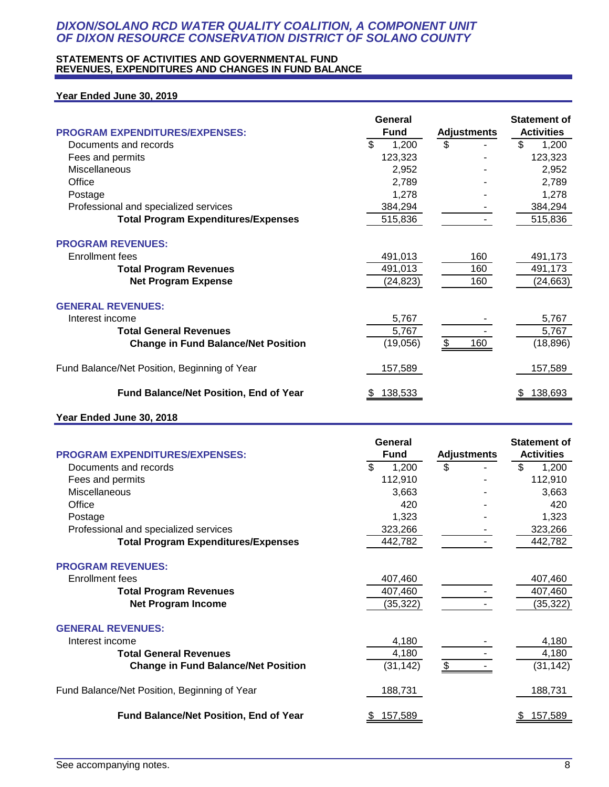## **STATEMENTS OF ACTIVITIES AND GOVERNMENTAL FUND REVENUES, EXPENDITURES AND CHANGES IN FUND BALANCE**

## **Year Ended June 30, 2019**

| <b>PROGRAM EXPENDITURES/EXPENSES:</b>        | General<br><b>Fund</b> | <b>Adjustments</b> | <b>Statement of</b><br><b>Activities</b> |
|----------------------------------------------|------------------------|--------------------|------------------------------------------|
| Documents and records                        | \$<br>1,200            | \$                 | \$<br>1,200                              |
|                                              | 123,323                |                    | 123,323                                  |
| Fees and permits                             |                        |                    |                                          |
| Miscellaneous                                | 2,952                  |                    | 2,952                                    |
| Office                                       | 2,789                  |                    | 2,789                                    |
| Postage                                      | 1,278                  |                    | 1,278                                    |
| Professional and specialized services        | 384,294                |                    | 384,294                                  |
| <b>Total Program Expenditures/Expenses</b>   | 515,836                |                    | 515,836                                  |
| <b>PROGRAM REVENUES:</b>                     |                        |                    |                                          |
| <b>Enrollment fees</b>                       | 491,013                | 160                | 491,173                                  |
| <b>Total Program Revenues</b>                | 491,013                | 160                | 491,173                                  |
| <b>Net Program Expense</b>                   | (24,823)               | 160                | (24, 663)                                |
|                                              |                        |                    |                                          |
| <b>GENERAL REVENUES:</b>                     |                        |                    |                                          |
| Interest income                              | 5,767                  |                    | 5,767                                    |
| <b>Total General Revenues</b>                | 5,767                  |                    | 5,767                                    |
| <b>Change in Fund Balance/Net Position</b>   | (19,056)               | 160                | (18, 896)                                |
| Fund Balance/Net Position, Beginning of Year | 157,589                |                    | 157,589                                  |
| Fund Balance/Net Position, End of Year       | 138,533                |                    | 138,693                                  |

### **Year Ended June 30, 2018**

|                                               | General      |                    | <b>Statement of</b> |
|-----------------------------------------------|--------------|--------------------|---------------------|
| <b>PROGRAM EXPENDITURES/EXPENSES:</b>         | <b>Fund</b>  | <b>Adjustments</b> | <b>Activities</b>   |
| Documents and records                         | \$<br>1,200  | \$                 | \$.<br>1,200        |
| Fees and permits                              | 112,910      |                    | 112,910             |
| Miscellaneous                                 | 3,663        |                    | 3,663               |
| Office                                        | 420          |                    | 420                 |
| Postage                                       | 1,323        |                    | 1,323               |
| Professional and specialized services         | 323,266      |                    | 323,266             |
| <b>Total Program Expenditures/Expenses</b>    | 442,782      |                    | 442,782             |
| <b>PROGRAM REVENUES:</b>                      |              |                    |                     |
| <b>Enrollment fees</b>                        | 407,460      |                    | 407,460             |
| <b>Total Program Revenues</b>                 | 407,460      |                    | 407,460             |
| <b>Net Program Income</b>                     | (35, 322)    |                    | (35,322)            |
| <b>GENERAL REVENUES:</b>                      |              |                    |                     |
| Interest income                               | 4,180        |                    | 4,180               |
| <b>Total General Revenues</b>                 | 4,180        |                    | 4,180               |
| <b>Change in Fund Balance/Net Position</b>    | (31, 142)    | \$.                | (31, 142)           |
| Fund Balance/Net Position, Beginning of Year  | 188,731      |                    | 188,731             |
| <b>Fund Balance/Net Position, End of Year</b> | 157,589<br>S |                    | 157,589<br>\$.      |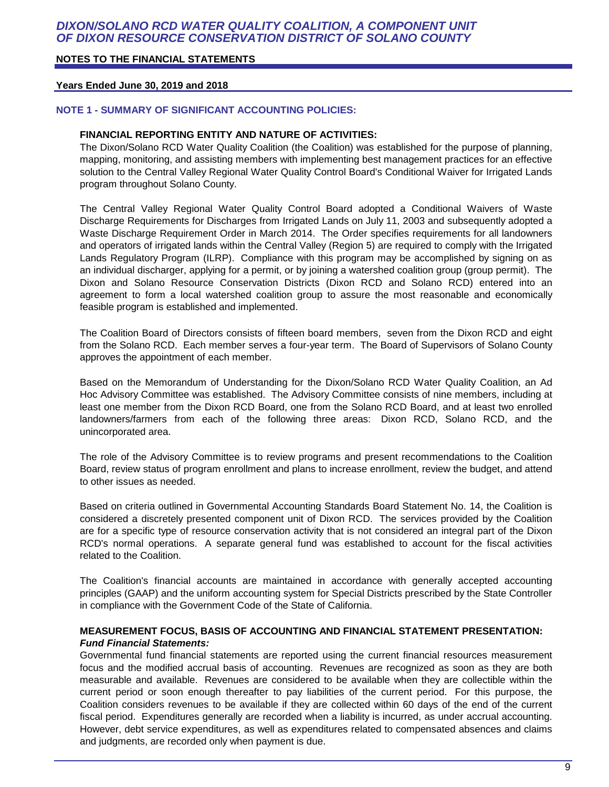## **NOTES TO THE FINANCIAL STATEMENTS**

## **Years Ended June 30, 2019 and 2018**

## **NOTE 1 - SUMMARY OF SIGNIFICANT ACCOUNTING POLICIES:**

### **FINANCIAL REPORTING ENTITY AND NATURE OF ACTIVITIES:**

The Dixon/Solano RCD Water Quality Coalition (the Coalition) was established for the purpose of planning, mapping, monitoring, and assisting members with implementing best management practices for an effective solution to the Central Valley Regional Water Quality Control Board's Conditional Waiver for Irrigated Lands program throughout Solano County.

The Central Valley Regional Water Quality Control Board adopted a Conditional Waivers of Waste Discharge Requirements for Discharges from Irrigated Lands on July 11, 2003 and subsequently adopted a Waste Discharge Requirement Order in March 2014. The Order specifies requirements for all landowners and operators of irrigated lands within the Central Valley (Region 5) are required to comply with the Irrigated Lands Regulatory Program (ILRP). Compliance with this program may be accomplished by signing on as an individual discharger, applying for a permit, or by joining a watershed coalition group (group permit). The Dixon and Solano Resource Conservation Districts (Dixon RCD and Solano RCD) entered into an agreement to form a local watershed coalition group to assure the most reasonable and economically feasible program is established and implemented.

The Coalition Board of Directors consists of fifteen board members, seven from the Dixon RCD and eight from the Solano RCD. Each member serves a four-year term. The Board of Supervisors of Solano County approves the appointment of each member.

Based on the Memorandum of Understanding for the Dixon/Solano RCD Water Quality Coalition, an Ad Hoc Advisory Committee was established. The Advisory Committee consists of nine members, including at least one member from the Dixon RCD Board, one from the Solano RCD Board, and at least two enrolled landowners/farmers from each of the following three areas: Dixon RCD, Solano RCD, and the unincorporated area.

The role of the Advisory Committee is to review programs and present recommendations to the Coalition Board, review status of program enrollment and plans to increase enrollment, review the budget, and attend to other issues as needed.

Based on criteria outlined in Governmental Accounting Standards Board Statement No. 14, the Coalition is considered a discretely presented component unit of Dixon RCD. The services provided by the Coalition are for a specific type of resource conservation activity that is not considered an integral part of the Dixon RCD's normal operations. A separate general fund was established to account for the fiscal activities related to the Coalition.

The Coalition's financial accounts are maintained in accordance with generally accepted accounting principles (GAAP) and the uniform accounting system for Special Districts prescribed by the State Controller in compliance with the Government Code of the State of California.

## **MEASUREMENT FOCUS, BASIS OF ACCOUNTING AND FINANCIAL STATEMENT PRESENTATION:** *Fund Financial Statements:*

Governmental fund financial statements are reported using the current financial resources measurement focus and the modified accrual basis of accounting. Revenues are recognized as soon as they are both measurable and available. Revenues are considered to be available when they are collectible within the current period or soon enough thereafter to pay liabilities of the current period. For this purpose, the Coalition considers revenues to be available if they are collected within 60 days of the end of the current fiscal period. Expenditures generally are recorded when a liability is incurred, as under accrual accounting. However, debt service expenditures, as well as expenditures related to compensated absences and claims and judgments, are recorded only when payment is due.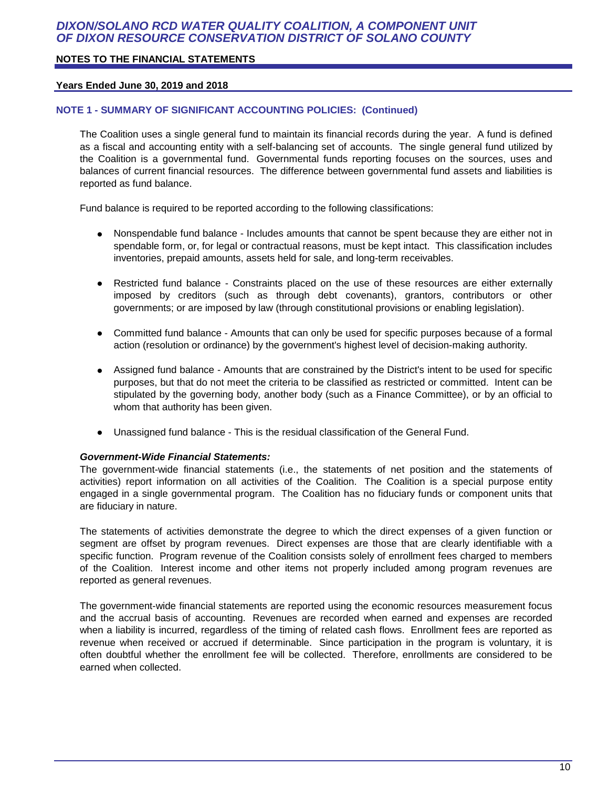## **NOTES TO THE FINANCIAL STATEMENTS**

#### **Years Ended June 30, 2019 and 2018**

## **NOTE 1 - SUMMARY OF SIGNIFICANT ACCOUNTING POLICIES: (Continued)**

The Coalition uses a single general fund to maintain its financial records during the year. A fund is defined as a fiscal and accounting entity with a self-balancing set of accounts. The single general fund utilized by the Coalition is a governmental fund. Governmental funds reporting focuses on the sources, uses and balances of current financial resources. The difference between governmental fund assets and liabilities is reported as fund balance.

Fund balance is required to be reported according to the following classifications:

- **●** Nonspendable fund balance Includes amounts that cannot be spent because they are either not in spendable form, or, for legal or contractual reasons, must be kept intact. This classification includes inventories, prepaid amounts, assets held for sale, and long-term receivables.
- **●** Restricted fund balance - Constraints placed on the use of these resources are either externally imposed by creditors (such as through debt covenants), grantors, contributors or other governments; or are imposed by law (through constitutional provisions or enabling legislation).
- **●** Committed fund balance Amounts that can only be used for specific purposes because of a formal action (resolution or ordinance) by the government's highest level of decision-making authority.
- **●** Assigned fund balance Amounts that are constrained by the District's intent to be used for specific purposes, but that do not meet the criteria to be classified as restricted or committed. Intent can be stipulated by the governing body, another body (such as a Finance Committee), or by an official to whom that authority has been given.
- **●** Unassigned fund balance This is the residual classification of the General Fund.

#### *Government-Wide Financial Statements:*

The government-wide financial statements (i.e., the statements of net position and the statements of activities) report information on all activities of the Coalition. The Coalition is a special purpose entity engaged in a single governmental program. The Coalition has no fiduciary funds or component units that are fiduciary in nature.

The statements of activities demonstrate the degree to which the direct expenses of a given function or segment are offset by program revenues. Direct expenses are those that are clearly identifiable with a specific function. Program revenue of the Coalition consists solely of enrollment fees charged to members of the Coalition. Interest income and other items not properly included among program revenues are reported as general revenues.

The government-wide financial statements are reported using the economic resources measurement focus and the accrual basis of accounting. Revenues are recorded when earned and expenses are recorded when a liability is incurred, regardless of the timing of related cash flows. Enrollment fees are reported as revenue when received or accrued if determinable. Since participation in the program is voluntary, it is often doubtful whether the enrollment fee will be collected. Therefore, enrollments are considered to be earned when collected.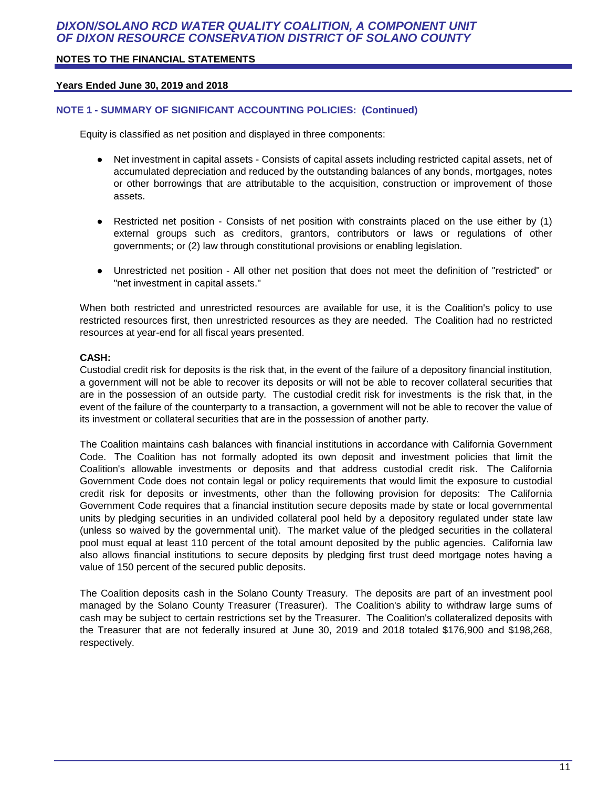## **NOTES TO THE FINANCIAL STATEMENTS**

#### **Years Ended June 30, 2019 and 2018**

### **NOTE 1 - SUMMARY OF SIGNIFICANT ACCOUNTING POLICIES: (Continued)**

Equity is classified as net position and displayed in three components:

- **●** Net investment in capital assets Consists of capital assets including restricted capital assets, net of accumulated depreciation and reduced by the outstanding balances of any bonds, mortgages, notes or other borrowings that are attributable to the acquisition, construction or improvement of those assets.
- **●** Restricted net position Consists of net position with constraints placed on the use either by (1) external groups such as creditors, grantors, contributors or laws or regulations of other governments; or (2) law through constitutional provisions or enabling legislation.
- **●** Unrestricted net position All other net position that does not meet the definition of "restricted" or "net investment in capital assets."

When both restricted and unrestricted resources are available for use, it is the Coalition's policy to use restricted resources first, then unrestricted resources as they are needed. The Coalition had no restricted resources at year-end for all fiscal years presented.

#### **CASH:**

Custodial credit risk for deposits is the risk that, in the event of the failure of a depository financial institution, a government will not be able to recover its deposits or will not be able to recover collateral securities that are in the possession of an outside party. The custodial credit risk for investments is the risk that, in the event of the failure of the counterparty to a transaction, a government will not be able to recover the value of its investment or collateral securities that are in the possession of another party.

The Coalition maintains cash balances with financial institutions in accordance with California Government Code. The Coalition has not formally adopted its own deposit and investment policies that limit the Coalition's allowable investments or deposits and that address custodial credit risk. The California Government Code does not contain legal or policy requirements that would limit the exposure to custodial credit risk for deposits or investments, other than the following provision for deposits: The California Government Code requires that a financial institution secure deposits made by state or local governmental units by pledging securities in an undivided collateral pool held by a depository regulated under state law (unless so waived by the governmental unit). The market value of the pledged securities in the collateral pool must equal at least 110 percent of the total amount deposited by the public agencies. California law also allows financial institutions to secure deposits by pledging first trust deed mortgage notes having a value of 150 percent of the secured public deposits.

The Coalition deposits cash in the Solano County Treasury. The deposits are part of an investment pool managed by the Solano County Treasurer (Treasurer). The Coalition's ability to withdraw large sums of cash may be subject to certain restrictions set by the Treasurer. The Coalition's collateralized deposits with the Treasurer that are not federally insured at June 30, 2019 and 2018 totaled \$176,900 and \$198,268, respectively.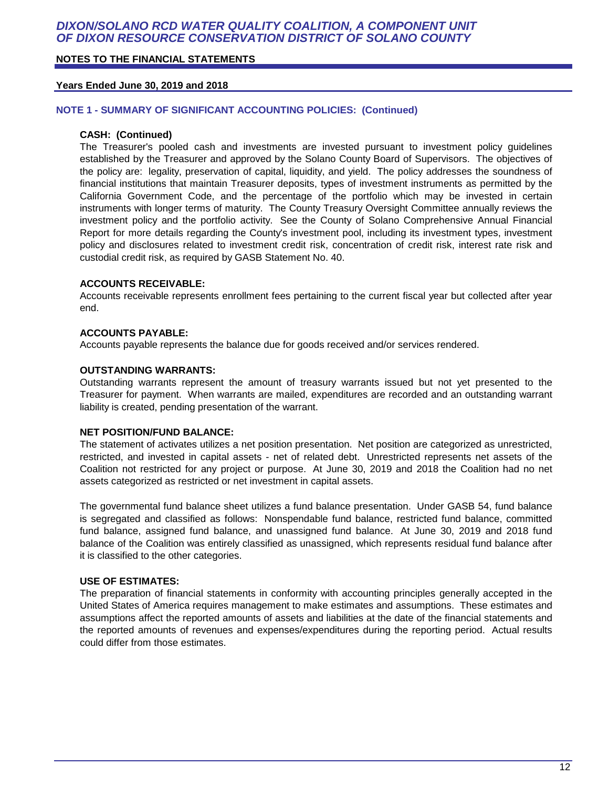## **NOTES TO THE FINANCIAL STATEMENTS**

#### **Years Ended June 30, 2019 and 2018**

#### **NOTE 1 - SUMMARY OF SIGNIFICANT ACCOUNTING POLICIES: (Continued)**

#### **CASH: (Continued)**

The Treasurer's pooled cash and investments are invested pursuant to investment policy guidelines established by the Treasurer and approved by the Solano County Board of Supervisors. The objectives of the policy are: legality, preservation of capital, liquidity, and yield. The policy addresses the soundness of financial institutions that maintain Treasurer deposits, types of investment instruments as permitted by the California Government Code, and the percentage of the portfolio which may be invested in certain instruments with longer terms of maturity. The County Treasury Oversight Committee annually reviews the investment policy and the portfolio activity. See the County of Solano Comprehensive Annual Financial Report for more details regarding the County's investment pool, including its investment types, investment policy and disclosures related to investment credit risk, concentration of credit risk, interest rate risk and custodial credit risk, as required by GASB Statement No. 40.

#### **ACCOUNTS RECEIVABLE:**

Accounts receivable represents enrollment fees pertaining to the current fiscal year but collected after year end.

#### **ACCOUNTS PAYABLE:**

Accounts payable represents the balance due for goods received and/or services rendered.

#### **OUTSTANDING WARRANTS:**

Outstanding warrants represent the amount of treasury warrants issued but not yet presented to the Treasurer for payment. When warrants are mailed, expenditures are recorded and an outstanding warrant liability is created, pending presentation of the warrant.

#### **NET POSITION/FUND BALANCE:**

The statement of activates utilizes a net position presentation. Net position are categorized as unrestricted, restricted, and invested in capital assets - net of related debt. Unrestricted represents net assets of the Coalition not restricted for any project or purpose. At June 30, 2019 and 2018 the Coalition had no net assets categorized as restricted or net investment in capital assets.

The governmental fund balance sheet utilizes a fund balance presentation. Under GASB 54, fund balance is segregated and classified as follows: Nonspendable fund balance, restricted fund balance, committed fund balance, assigned fund balance, and unassigned fund balance. At June 30, 2019 and 2018 fund balance of the Coalition was entirely classified as unassigned, which represents residual fund balance after it is classified to the other categories.

#### **USE OF ESTIMATES:**

The preparation of financial statements in conformity with accounting principles generally accepted in the United States of America requires management to make estimates and assumptions. These estimates and assumptions affect the reported amounts of assets and liabilities at the date of the financial statements and the reported amounts of revenues and expenses/expenditures during the reporting period. Actual results could differ from those estimates.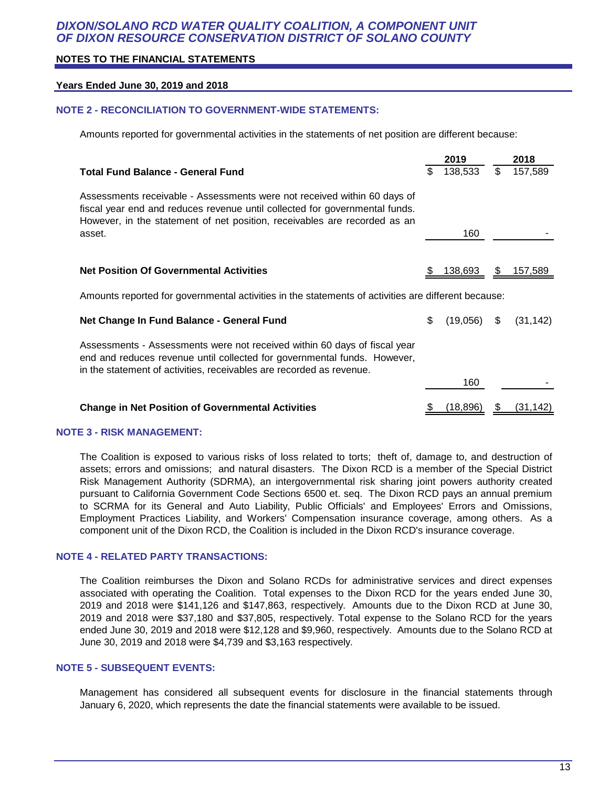## **NOTES TO THE FINANCIAL STATEMENTS**

#### **Years Ended June 30, 2019 and 2018**

## **NOTE 2 - RECONCILIATION TO GOVERNMENT-WIDE STATEMENTS:**

Amounts reported for governmental activities in the statements of net position are different because:

|                                                                                                                                                                                                                                      | 2019                |    | 2018           |
|--------------------------------------------------------------------------------------------------------------------------------------------------------------------------------------------------------------------------------------|---------------------|----|----------------|
| <b>Total Fund Balance - General Fund</b>                                                                                                                                                                                             | 138,533             | \$ | 157,589        |
| Assessments receivable - Assessments were not received within 60 days of<br>fiscal year end and reduces revenue until collected for governmental funds.<br>However, in the statement of net position, receivables are recorded as an |                     |    |                |
| asset.                                                                                                                                                                                                                               | 160                 |    |                |
|                                                                                                                                                                                                                                      |                     |    |                |
| <b>Net Position Of Governmental Activities</b>                                                                                                                                                                                       | <u>138,693</u>      | £. | <u>157,589</u> |
| Amounts reported for governmental activities in the statements of activities are different because:                                                                                                                                  |                     |    |                |
| Net Change In Fund Balance - General Fund                                                                                                                                                                                            | \$<br>$(19,056)$ \$ |    | (31, 142)      |
| Assessments - Assessments were not received within 60 days of fiscal year<br>end and reduces revenue until collected for governmental funds. However,<br>in the statement of activities, receivables are recorded as revenue.        |                     |    |                |
|                                                                                                                                                                                                                                      | 160                 |    |                |
| <b>Change in Net Position of Governmental Activities</b>                                                                                                                                                                             | \$<br>(18, 896)     | S  | (31,142)       |

### **NOTE 3 - RISK MANAGEMENT:**

The Coalition is exposed to various risks of loss related to torts; theft of, damage to, and destruction of assets; errors and omissions; and natural disasters. The Dixon RCD is a member of the Special District Risk Management Authority (SDRMA), an intergovernmental risk sharing joint powers authority created pursuant to California Government Code Sections 6500 et. seq. The Dixon RCD pays an annual premium to SCRMA for its General and Auto Liability, Public Officials' and Employees' Errors and Omissions, Employment Practices Liability, and Workers' Compensation insurance coverage, among others. As a component unit of the Dixon RCD, the Coalition is included in the Dixon RCD's insurance coverage.

#### **NOTE 4 - RELATED PARTY TRANSACTIONS:**

The Coalition reimburses the Dixon and Solano RCDs for administrative services and direct expenses associated with operating the Coalition. Total expenses to the Dixon RCD for the years ended June 30, 2019 and 2018 were \$141,126 and \$147,863, respectively. Amounts due to the Dixon RCD at June 30, 2019 and 2018 were \$37,180 and \$37,805, respectively. Total expense to the Solano RCD for the years ended June 30, 2019 and 2018 were \$12,128 and \$9,960, respectively. Amounts due to the Solano RCD at June 30, 2019 and 2018 were \$4,739 and \$3,163 respectively.

## **NOTE 5 - SUBSEQUENT EVENTS:**

Management has considered all subsequent events for disclosure in the financial statements through January 6, 2020, which represents the date the financial statements were available to be issued.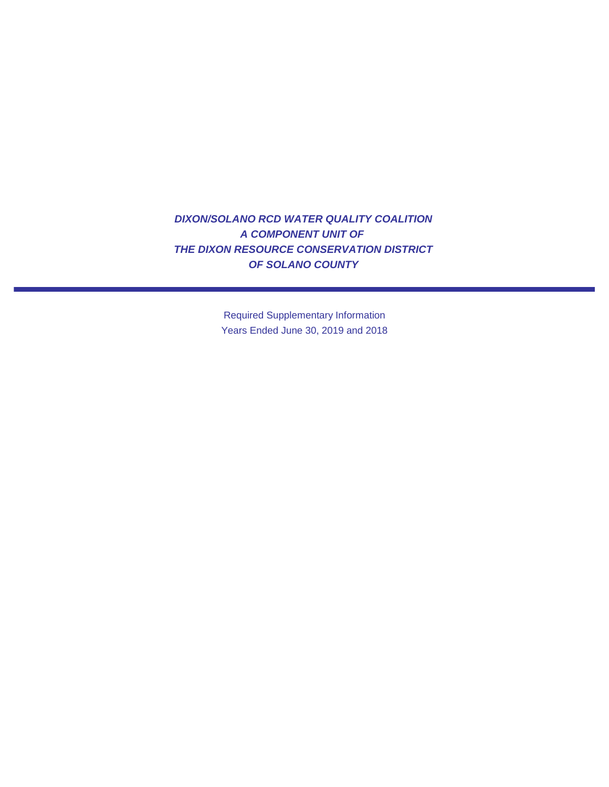*DIXON/SOLANO RCD WATER QUALITY COALITION THE DIXON RESOURCE CONSERVATION DISTRICT OF SOLANO COUNTY A COMPONENT UNIT OF* 

> Years Ended June 30, 2019 and 2018 Required Supplementary Information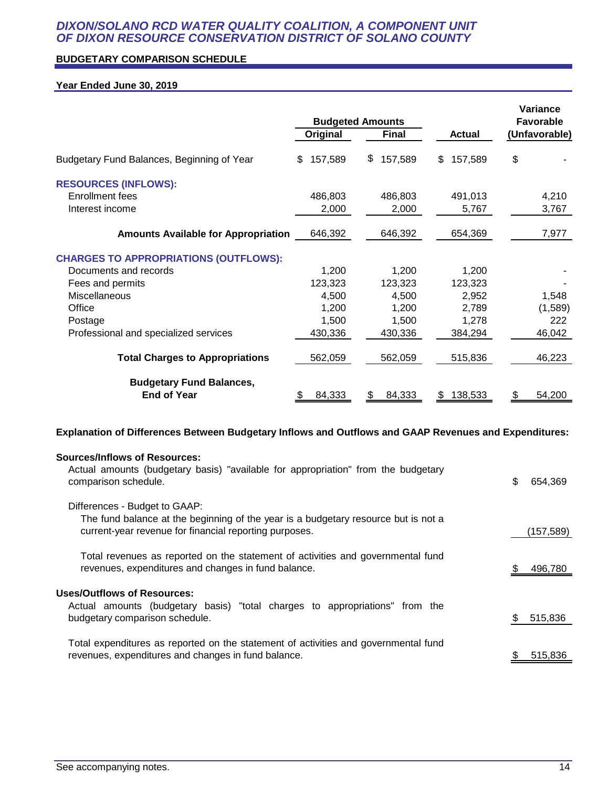## **BUDGETARY COMPARISON SCHEDULE**

## **Year Ended June 30, 2019**

|                                              |               | <b>Budgeted Amounts</b> |                | Variance<br><b>Favorable</b> |
|----------------------------------------------|---------------|-------------------------|----------------|------------------------------|
|                                              | Original      | <b>Final</b>            | <b>Actual</b>  | (Unfavorable)                |
| Budgetary Fund Balances, Beginning of Year   | 157,589<br>\$ | \$<br>157,589           | 157,589<br>\$  | \$                           |
| <b>RESOURCES (INFLOWS):</b>                  |               |                         |                |                              |
| Enrollment fees                              | 486,803       | 486,803                 | 491,013        | 4,210                        |
| Interest income                              | 2,000         | 2,000                   | 5,767          | 3,767                        |
| <b>Amounts Available for Appropriation</b>   | 646,392       | 646,392                 | 654,369        | 7,977                        |
| <b>CHARGES TO APPROPRIATIONS (OUTFLOWS):</b> |               |                         |                |                              |
| Documents and records                        | 1,200         | 1,200                   | 1,200          |                              |
| Fees and permits                             | 123,323       | 123,323                 | 123,323        |                              |
| Miscellaneous                                | 4,500         | 4,500                   | 2,952          | 1,548                        |
| Office                                       | 1,200         | 1,200                   | 2,789          | (1,589)                      |
| Postage                                      | 1,500         | 1,500                   | 1,278          | 222                          |
| Professional and specialized services        | 430,336       | 430,336                 | 384,294        | 46,042                       |
| <b>Total Charges to Appropriations</b>       | 562,059       | 562,059                 | 515,836        | 46,223                       |
| <b>Budgetary Fund Balances,</b>              |               |                         |                |                              |
| <b>End of Year</b>                           | 84,333        | 84,333                  | 138,533<br>\$. | 54,200<br>\$.                |

## **Explanation of Differences Between Budgetary Inflows and Outflows and GAAP Revenues and Expenditures:**

#### **Sources/Inflows of Resources:**

| Actual amounts (budgetary basis) "available for appropriation" from the budgetary<br>comparison schedule.                                                                     | \$<br>654.369 |
|-------------------------------------------------------------------------------------------------------------------------------------------------------------------------------|---------------|
| Differences - Budget to GAAP:<br>The fund balance at the beginning of the year is a budgetary resource but is not a<br>current-year revenue for financial reporting purposes. | (157, 589)    |
| Total revenues as reported on the statement of activities and governmental fund<br>revenues, expenditures and changes in fund balance.                                        | 496,780       |
| <b>Uses/Outflows of Resources:</b><br>Actual amounts (budgetary basis) "total charges to appropriations" from the<br>budgetary comparison schedule.                           | \$<br>515,836 |
| Total expenditures as reported on the statement of activities and governmental fund<br>revenues, expenditures and changes in fund balance.                                    | 515,836       |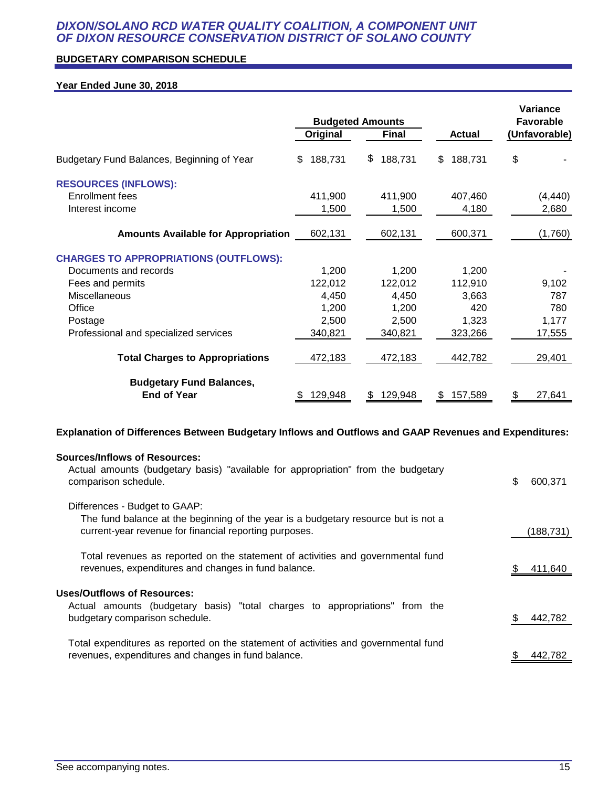## **BUDGETARY COMPARISON SCHEDULE**

## **Year Ended June 30, 2018**

|                                              |               | <b>Budgeted Amounts</b> |               | Variance<br><b>Favorable</b> |
|----------------------------------------------|---------------|-------------------------|---------------|------------------------------|
|                                              | Original      | <b>Final</b>            | <b>Actual</b> | (Unfavorable)                |
| Budgetary Fund Balances, Beginning of Year   | 188,731<br>\$ | \$<br>188,731           | 188,731<br>\$ | \$                           |
| <b>RESOURCES (INFLOWS):</b>                  |               |                         |               |                              |
| Enrollment fees                              | 411,900       | 411,900                 | 407,460       | (4, 440)                     |
| Interest income                              | 1,500         | 1,500                   | 4,180         | 2,680                        |
| <b>Amounts Available for Appropriation</b>   | 602,131       | 602,131                 | 600,371       | (1,760)                      |
| <b>CHARGES TO APPROPRIATIONS (OUTFLOWS):</b> |               |                         |               |                              |
| Documents and records                        | 1,200         | 1,200                   | 1,200         |                              |
| Fees and permits                             | 122,012       | 122,012                 | 112,910       | 9,102                        |
| Miscellaneous                                | 4,450         | 4,450                   | 3,663         | 787                          |
| Office                                       | 1,200         | 1,200                   | 420           | 780                          |
| Postage                                      | 2,500         | 2,500                   | 1,323         | 1,177                        |
| Professional and specialized services        | 340,821       | 340,821                 | 323,266       | 17,555                       |
| <b>Total Charges to Appropriations</b>       | 472,183       | 472,183                 | 442,782       | 29,401                       |
| <b>Budgetary Fund Balances,</b>              |               |                         |               |                              |
| <b>End of Year</b>                           | 129,948       | 129,948<br>\$.          | 157,589<br>S. | 27,641<br>\$.                |

## **Explanation of Differences Between Budgetary Inflows and Outflows and GAAP Revenues and Expenditures:**

### **Sources/Inflows of Resources:**

| Actual amounts (budgetary basis) "available for appropriation" from the budgetary<br>comparison schedule.                                                                     | \$<br>600.371 |
|-------------------------------------------------------------------------------------------------------------------------------------------------------------------------------|---------------|
| Differences - Budget to GAAP:<br>The fund balance at the beginning of the year is a budgetary resource but is not a<br>current-year revenue for financial reporting purposes. | (188, 731)    |
| Total revenues as reported on the statement of activities and governmental fund<br>revenues, expenditures and changes in fund balance.                                        | 411,640       |
| <b>Uses/Outflows of Resources:</b><br>Actual amounts (budgetary basis) "total charges to appropriations" from the<br>budgetary comparison schedule.                           | 442,782       |
| Total expenditures as reported on the statement of activities and governmental fund<br>revenues, expenditures and changes in fund balance.                                    | 442.782       |